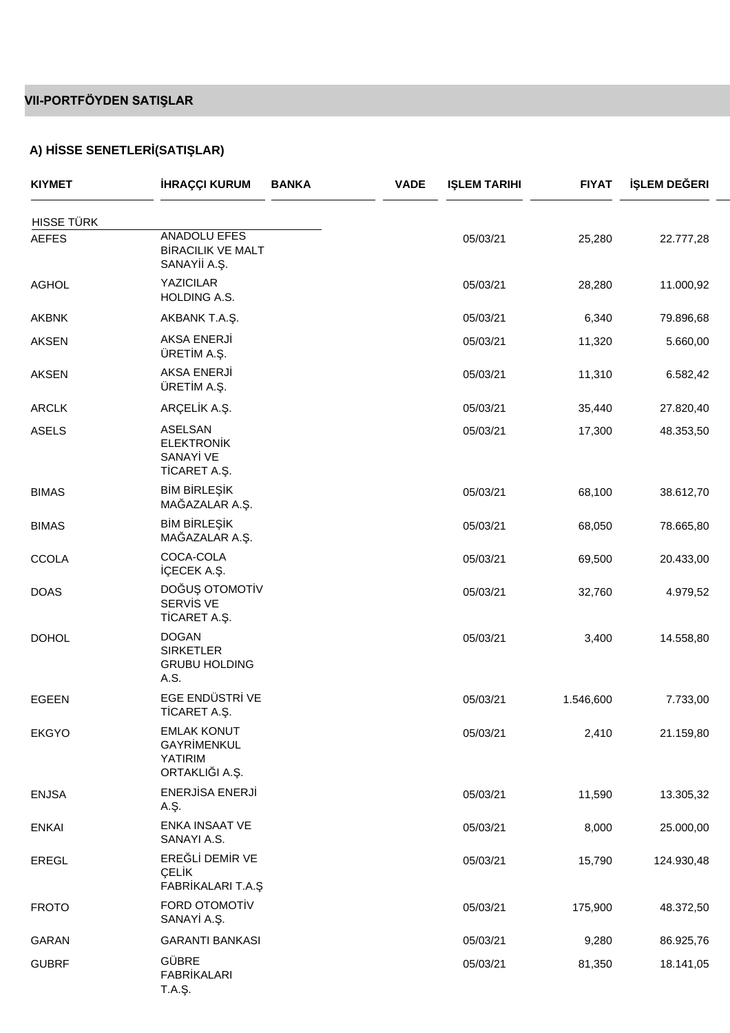### **VII-PORTFÖYDEN SATIŞLAR**

# **A) H SSE SENETLER (SATI LAR)**

| <b>KIYMET</b>     | <b>HRAÇÇI KURUM</b><br><b>BANKA</b>                                         | <b>VADE</b> | <b>I LEM TARIHI</b> | <b>FIYAT</b> | LEM DE ERI |
|-------------------|-----------------------------------------------------------------------------|-------------|---------------------|--------------|------------|
| <b>HISSE TÜRK</b> |                                                                             |             |                     |              |            |
| <b>AEFES</b>      | ANADOLU EFES<br><b>B RACILIK VE MALT</b><br>SANAY A                         |             | 05/03/21            | 25,280       | 22.777,28  |
| <b>AGHOL</b>      | <b>YAZICILAR</b><br>HOLDING A.S.                                            |             | 05/03/21            | 28,280       | 11.000,92  |
| <b>AKBNK</b>      | AKBANK T.A. .                                                               |             | 05/03/21            | 6,340        | 79.896,68  |
| <b>AKSEN</b>      | AKSA ENERJ<br>ÜRET M A                                                      |             | 05/03/21            | 11,320       | 5.660,00   |
| <b>AKSEN</b>      | AKSA ENERJ<br>ÜRET M A                                                      |             | 05/03/21            | 11,310       | 6.582,42   |
| ARCLK             | ARÇEL KA                                                                    |             | 05/03/21            | 35,440       | 27.820,40  |
| <b>ASELS</b>      | ASELSAN<br><b>ELEKTRON K</b><br>SANAY VE<br>T CARET A. .                    |             | 05/03/21            | 17,300       | 48.353,50  |
| <b>BIMAS</b>      | BMBRLE K<br>MA AZALAR A. .                                                  |             | 05/03/21            | 68,100       | 38.612,70  |
| <b>BIMAS</b>      | BMBRLE K<br>MA AZALAR A. .                                                  |             | 05/03/21            | 68,050       | 78.665,80  |
| <b>CCOLA</b>      | COCA-COLA<br>ÇECEK A. .                                                     |             | 05/03/21            | 69,500       | 20.433,00  |
| <b>DOAS</b>       | DO U OTOMOT V<br>SERV S VE<br>T CARET A. .                                  |             | 05/03/21            | 32,760       | 4.979,52   |
| <b>DOHOL</b>      | <b>DOGAN</b><br><b>SIRKETLER</b><br><b>GRUBU HOLDING</b><br>A.S.            |             | 05/03/21            | 3,400        | 14.558,80  |
| EGEEN             | EGE ENDÜSTR VE<br>T CARET A. .                                              |             | 05/03/21            | 1.546,600    | 7.733,00   |
| <b>EKGYO</b>      | <b>EMLAK KONUT</b><br><b>GAYR MENKUL</b><br><b>YATIRIM</b><br>ORTAKLI IA. . |             | 05/03/21            | 2,410        | 21.159,80  |
| <b>ENJSA</b>      | ENERJ SA ENERJ<br>A. .                                                      |             | 05/03/21            | 11,590       | 13.305,32  |
| <b>ENKAI</b>      | ENKA INSAAT VE<br>SANAYI A.S.                                               |             | 05/03/21            | 8,000        | 25.000,00  |
| EREGL             | ERE L DEM R VE<br>ÇEL K<br>FABR KALARI T.A.                                 |             | 05/03/21            | 15,790       | 124.930,48 |
| <b>FROTO</b>      | FORD OTOMOT V<br>SANAY A. .                                                 |             | 05/03/21            | 175,900      | 48.372,50  |
| GARAN             | <b>GARANTI BANKASI</b>                                                      |             | 05/03/21            | 9,280        | 86.925,76  |
| <b>GUBRF</b>      | GÜBRE<br><b>FABR KALARI</b><br>T.A. .                                       |             | 05/03/21            | 81,350       | 18.141,05  |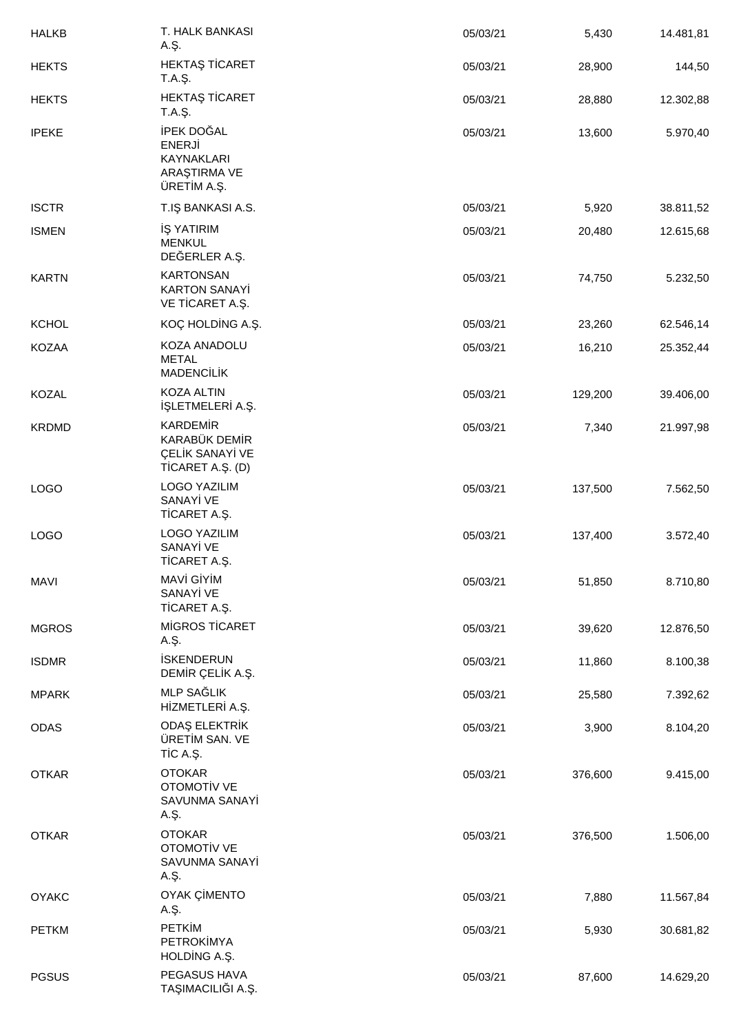| <b>HALKB</b> | T. HALK BANKASI<br>A. .                                                    | 05/03/21 | 5,430   | 14.481,81 |
|--------------|----------------------------------------------------------------------------|----------|---------|-----------|
| <b>HEKTS</b> | HEKTA T CARET<br>T.A. .                                                    | 05/03/21 | 28,900  | 144,50    |
| <b>HEKTS</b> | HEKTA T CARET<br>T.A. .                                                    | 05/03/21 | 28,880  | 12.302,88 |
| <b>IPEKE</b> | PEK DO AL<br><b>ENERJ</b><br>KAYNAKLARI<br>ARA TIRMA VE<br>ÜRET M A. .     | 05/03/21 | 13,600  | 5.970,40  |
| <b>ISCTR</b> | T.I BANKASI A.S.                                                           | 05/03/21 | 5,920   | 38.811,52 |
| <b>ISMEN</b> | YATIRIM<br><b>MENKUL</b><br>DE ERLER A. .                                  | 05/03/21 | 20,480  | 12.615,68 |
| <b>KARTN</b> | <b>KARTONSAN</b><br><b>KARTON SANAY</b><br>VE T CARET A. .                 | 05/03/21 | 74,750  | 5.232,50  |
| KCHOL        | KOÇ HOLD NG A. .                                                           | 05/03/21 | 23,260  | 62.546,14 |
| KOZAA        | KOZA ANADOLU<br><b>METAL</b><br>MADENC L K                                 | 05/03/21 | 16,210  | 25.352,44 |
| <b>KOZAL</b> | KOZA ALTIN<br>LETMELER A. .                                                | 05/03/21 | 129,200 | 39.406,00 |
| <b>KRDMD</b> | <b>KARDEM R</b><br>KARABÜK DEM R<br>ÇEL K SANAY VE<br>$T$ CARET A. $( D )$ | 05/03/21 | 7,340   | 21.997,98 |
| <b>LOGO</b>  | <b>LOGO YAZILIM</b><br>SANAY VE<br>T CARET A. .                            | 05/03/21 | 137,500 | 7.562,50  |
| <b>LOGO</b>  | <b>LOGO YAZILIM</b><br>SANAY VE<br>T CARET A. .                            | 05/03/21 | 137,400 | 3.572,40  |
| <b>MAVI</b>  | MAV GYM<br>SANAY VE<br>T CARET A. .                                        | 05/03/21 | 51,850  | 8.710,80  |
| <b>MGROS</b> | M GROS T CARET<br>A. .                                                     | 05/03/21 | 39,620  | 12.876,50 |
| <b>ISDMR</b> | <b>SKENDERUN</b><br>DEM R ÇEL K A                                          | 05/03/21 | 11,860  | 8.100,38  |
| <b>MPARK</b> | MLP SA LIK<br>H ZMETLER A. .                                               | 05/03/21 | 25,580  | 7.392,62  |
| <b>ODAS</b>  | ODA ELEKTR K<br>ÜRET M SAN. VE<br>TCA                                      | 05/03/21 | 3,900   | 8.104,20  |
| <b>OTKAR</b> | <b>OTOKAR</b><br>OTOMOT V VE<br>SAVUNMA SANAY<br>A. .                      | 05/03/21 | 376,600 | 9.415,00  |
| <b>OTKAR</b> | <b>OTOKAR</b><br>OTOMOT V VE<br>SAVUNMA SANAY<br>A. .                      | 05/03/21 | 376,500 | 1.506,00  |
| <b>OYAKC</b> | OYAK Ç MENTO<br>A. .                                                       | 05/03/21 | 7,880   | 11.567,84 |
| <b>PETKM</b> | PETK M<br>PETROK MYA<br>HOLD NG A. .                                       | 05/03/21 | 5,930   | 30.681,82 |
| <b>PGSUS</b> | PEGASUS HAVA<br>TA IMACILI IA                                              | 05/03/21 | 87,600  | 14.629,20 |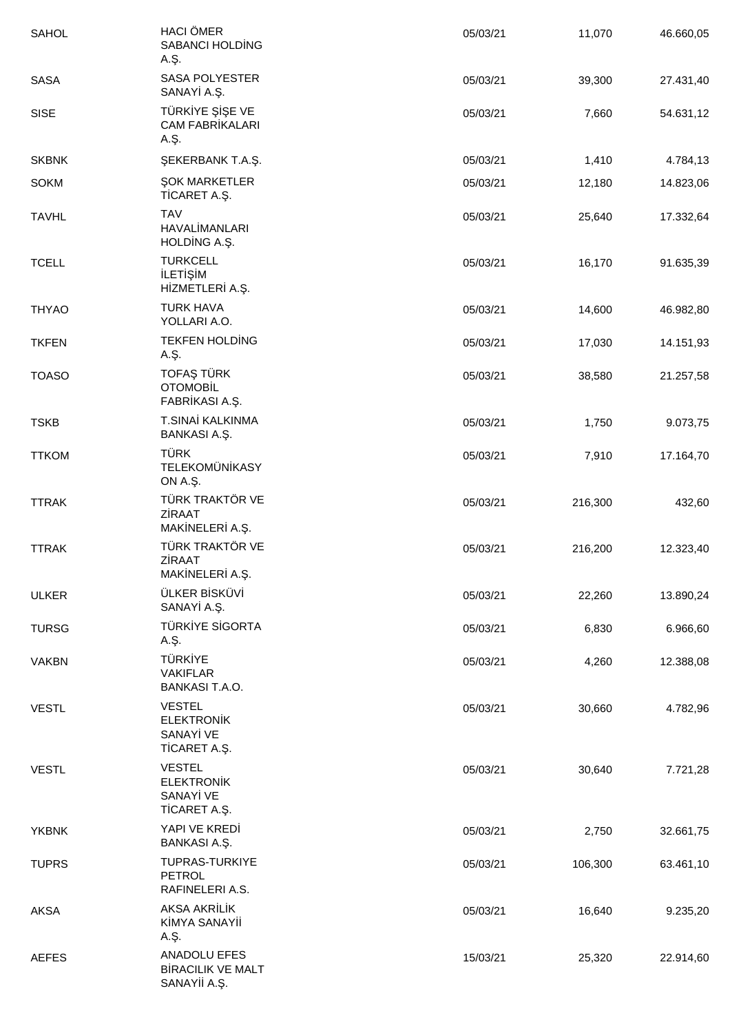| SAHOL        | <b>HACI ÖMER</b><br>SABANCI HOLD NG<br>A. .                    | 05/03/21 | 11,070  | 46.660,05 |
|--------------|----------------------------------------------------------------|----------|---------|-----------|
| SASA         | <b>SASA POLYESTER</b><br>SANAY A. .                            | 05/03/21 | 39,300  | 27.431,40 |
| <b>SISE</b>  | <b>TÜRK YE</b><br>E VE<br><b>CAM FABR KALARI</b><br>A. .       | 05/03/21 | 7,660   | 54.631,12 |
| <b>SKBNK</b> | EKERBANK T.A. .                                                | 05/03/21 | 1,410   | 4.784,13  |
| <b>SOKM</b>  | OK MARKETLER<br>T CARET A. .                                   | 05/03/21 | 12,180  | 14.823,06 |
| <b>TAVHL</b> | <b>TAV</b><br><b>HAVAL MANLARI</b><br>HOLD NG A. .             | 05/03/21 | 25,640  | 17.332,64 |
| <b>TCELL</b> | <b>TURKCELL</b><br>LET M<br>HZMETLER A. .                      | 05/03/21 | 16,170  | 91.635,39 |
| <b>THYAO</b> | <b>TURK HAVA</b><br>YOLLARI A.O.                               | 05/03/21 | 14,600  | 46.982,80 |
| <b>TKFEN</b> | TEKFEN HOLD NG<br>A. .                                         | 05/03/21 | 17,030  | 14.151,93 |
| <b>TOASO</b> | TOFA TÜRK<br>OTOMOB <sub>L</sub><br>FABR KASI A. .             | 05/03/21 | 38,580  | 21.257,58 |
| <b>TSKB</b>  | T.SINA KALKINMA<br>BANKASIA                                    | 05/03/21 | 1,750   | 9.073,75  |
| <b>TTKOM</b> | TÜRK<br><b>TELEKOMÜN KASY</b><br>ON A.                         | 05/03/21 | 7,910   | 17.164,70 |
| <b>TTRAK</b> | TÜRK TRAKTÖR VE<br>Z RAAT<br>MAK NELER A. .                    | 05/03/21 | 216,300 | 432,60    |
| <b>TTRAK</b> | TÜRK TRAKTÖR VE<br>Z RAAT<br>MAK NELER A. .                    | 05/03/21 | 216,200 | 12.323,40 |
| <b>ULKER</b> | ÜLKER B SKÜV<br>SANAY A. .                                     | 05/03/21 | 22,260  | 13.890,24 |
| <b>TURSG</b> | TÜRK YE S GORTA<br>A. .                                        | 05/03/21 | 6,830   | 6.966,60  |
| <b>VAKBN</b> | <b>TÜRK YE</b><br><b>VAKIFLAR</b><br><b>BANKASI T.A.O.</b>     | 05/03/21 | 4,260   | 12.388,08 |
| <b>VESTL</b> | <b>VESTEL</b><br><b>ELEKTRON K</b><br>SANAY VE<br>T CARET A. . | 05/03/21 | 30,660  | 4.782,96  |
| <b>VESTL</b> | <b>VESTEL</b><br><b>ELEKTRON K</b><br>SANAY VE<br>T CARET A. . | 05/03/21 | 30,640  | 7.721,28  |
| <b>YKBNK</b> | YAPI VE KRED<br>BANKASIA                                       | 05/03/21 | 2,750   | 32.661,75 |
| <b>TUPRS</b> | <b>TUPRAS-TURKIYE</b><br><b>PETROL</b><br>RAFINELERI A.S.      | 05/03/21 | 106,300 | 63.461,10 |
| AKSA         | AKSA AKR L K<br>K MYA SANAY<br>A.,                             | 05/03/21 | 16,640  | 9.235,20  |
| <b>AEFES</b> | ANADOLU EFES<br><b>B RACILIK VE MALT</b><br>SANAY A. .         | 15/03/21 | 25,320  | 22.914,60 |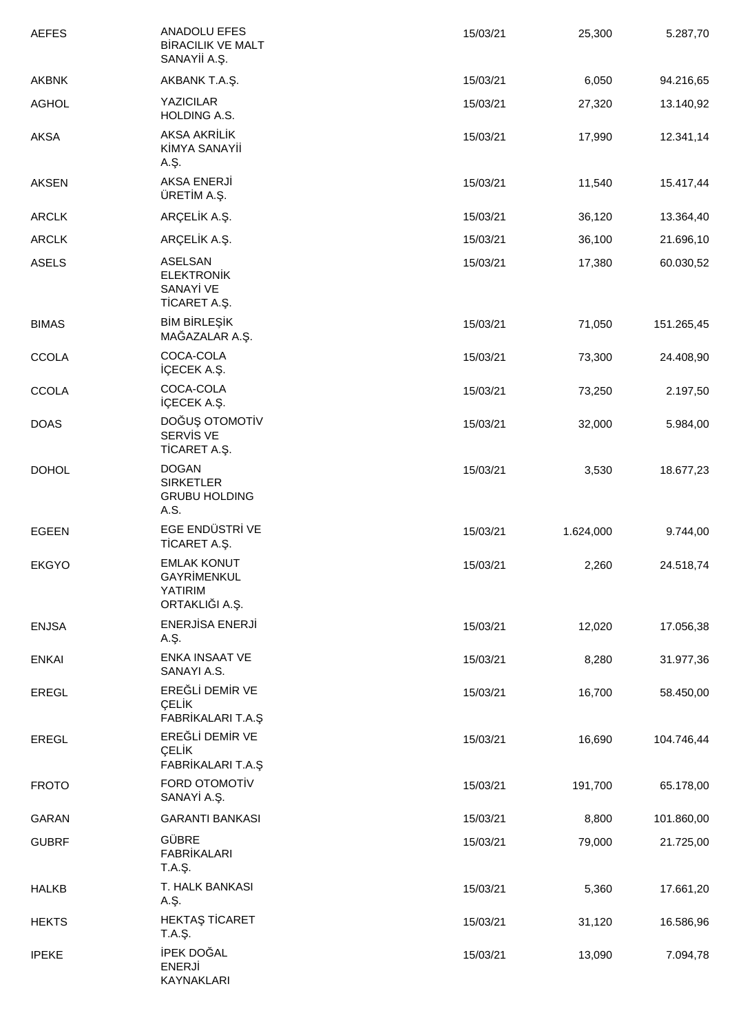| <b>AEFES</b> | ANADOLU EFES<br><b>B RACILIK VE MALT</b><br>SANAY A. .               | 15/03/21 | 25,300    | 5.287,70   |
|--------------|----------------------------------------------------------------------|----------|-----------|------------|
| AKBNK        | AKBANK T.A. .                                                        | 15/03/21 | 6,050     | 94.216,65  |
| <b>AGHOL</b> | <b>YAZICILAR</b><br>HOLDING A.S.                                     | 15/03/21 | 27,320    | 13.140,92  |
| <b>AKSA</b>  | AKSA AKR L K<br>K MYA SANAY<br>A. .                                  | 15/03/21 | 17,990    | 12.341,14  |
| AKSEN        | AKSA ENERJ<br>ÜRET M A                                               | 15/03/21 | 11,540    | 15.417,44  |
| ARCLK        | ARÇEL K A                                                            | 15/03/21 | 36,120    | 13.364,40  |
| ARCLK        | ARÇEL K A                                                            | 15/03/21 | 36,100    | 21.696,10  |
| <b>ASELS</b> | ASELSAN<br><b>ELEKTRON K</b><br>SANAY VE<br>T CARET A. .             | 15/03/21 | 17,380    | 60.030,52  |
| <b>BIMAS</b> | BMBRLE K<br>MA AZALAR A. .                                           | 15/03/21 | 71,050    | 151.265,45 |
| <b>CCOLA</b> | COCA-COLA<br>ÇECEK A. .                                              | 15/03/21 | 73,300    | 24.408,90  |
| <b>CCOLA</b> | COCA-COLA<br>ÇECEK A. .                                              | 15/03/21 | 73,250    | 2.197,50   |
| <b>DOAS</b>  | DO U OTOMOT V<br>SERV SVE<br>T CARET A. .                            | 15/03/21 | 32,000    | 5.984,00   |
| <b>DOHOL</b> | <b>DOGAN</b><br><b>SIRKETLER</b><br><b>GRUBU HOLDING</b><br>A.S.     | 15/03/21 | 3,530     | 18.677,23  |
| <b>EGEEN</b> | EGE ENDÜSTR VE<br>T CARET A. .                                       | 15/03/21 | 1.624,000 | 9.744,00   |
| <b>EKGYO</b> | <b>EMLAK KONUT</b><br><b>GAYR MENKUL</b><br>YATIRIM<br>ORTAKLI IA. . | 15/03/21 | 2,260     | 24.518,74  |
| <b>ENJSA</b> | ENERJ SA ENERJ<br>A. .                                               | 15/03/21 | 12,020    | 17.056,38  |
| <b>ENKAI</b> | <b>ENKA INSAAT VE</b><br>SANAYI A.S.                                 | 15/03/21 | 8,280     | 31.977,36  |
| EREGL        | ERE L DEM R VE<br><b>CELK</b><br>FABR KALARI T.A.                    | 15/03/21 | 16,700    | 58.450,00  |
| EREGL        | ERE L DEM R VE<br>ÇEL K<br>FABR KALARI T.A.                          | 15/03/21 | 16,690    | 104.746,44 |
| <b>FROTO</b> | FORD OTOMOT V<br>SANAY A. .                                          | 15/03/21 | 191,700   | 65.178,00  |
| GARAN        | <b>GARANTI BANKASI</b>                                               | 15/03/21 | 8,800     | 101.860,00 |
| <b>GUBRF</b> | <b>GÜBRE</b><br><b>FABR KALARI</b><br>T.A. .                         | 15/03/21 | 79,000    | 21.725,00  |
| <b>HALKB</b> | T. HALK BANKASI<br>A. .                                              | 15/03/21 | 5,360     | 17.661,20  |
| <b>HEKTS</b> | HEKTA T CARET<br>T.A. .                                              | 15/03/21 | 31,120    | 16.586,96  |
| <b>IPEKE</b> | PEK DO AL<br>ENERJ<br>KAYNAKLARI                                     | 15/03/21 | 13,090    | 7.094,78   |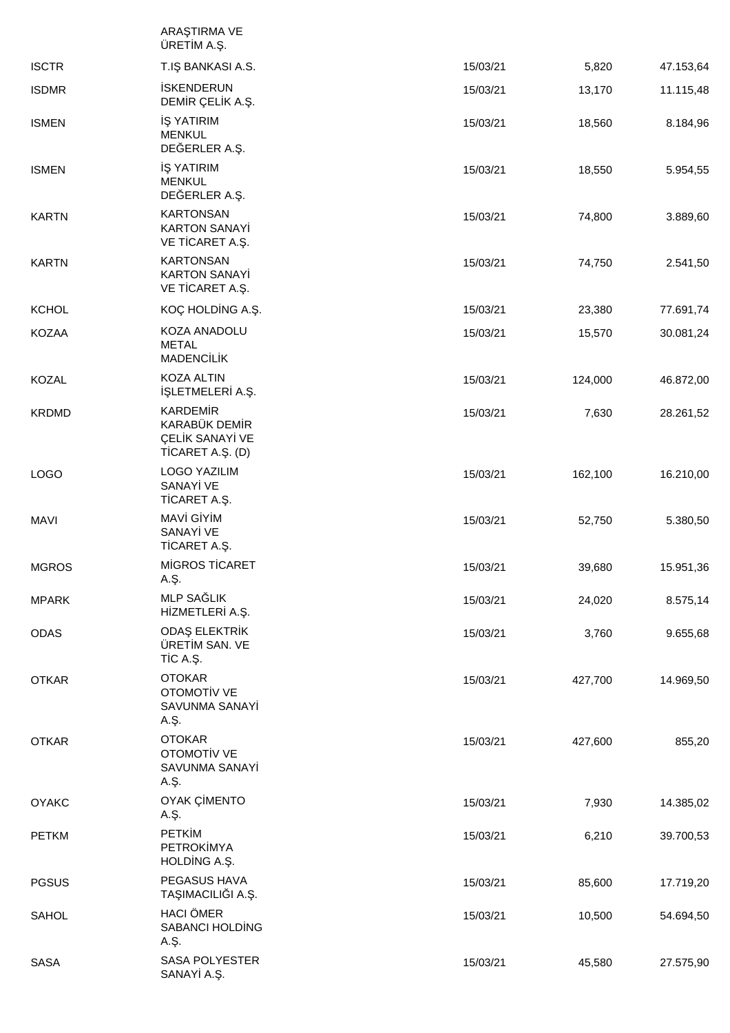|              | ARA TIRMA VE<br>ÜRET M A. .                                                  |          |         |           |
|--------------|------------------------------------------------------------------------------|----------|---------|-----------|
| <b>ISCTR</b> | T.I BANKASI A.S.                                                             | 15/03/21 | 5,820   | 47.153,64 |
| <b>ISDMR</b> | <b>SKENDERUN</b><br>DEM R ÇEL K A                                            | 15/03/21 | 13,170  | 11.115,48 |
| <b>ISMEN</b> | <b>YATIRIM</b><br><b>MENKUL</b><br>DE ERLER A. .                             | 15/03/21 | 18,560  | 8.184,96  |
| <b>ISMEN</b> | <b>YATIRIM</b><br><b>MENKUL</b><br>DE ERLER A. .                             | 15/03/21 | 18,550  | 5.954,55  |
| <b>KARTN</b> | <b>KARTONSAN</b><br><b>KARTON SANAY</b><br>VE T CARET A. .                   | 15/03/21 | 74,800  | 3.889,60  |
| <b>KARTN</b> | <b>KARTONSAN</b><br><b>KARTON SANAY</b><br>VE T CARET A. .                   | 15/03/21 | 74,750  | 2.541,50  |
| <b>KCHOL</b> | KOÇ HOLD NG A. .                                                             | 15/03/21 | 23,380  | 77.691,74 |
| KOZAA        | KOZA ANADOLU<br><b>METAL</b><br>MADENC L K                                   | 15/03/21 | 15,570  | 30.081,24 |
| KOZAL        | KOZA ALTIN<br>LETMELER A. .                                                  | 15/03/21 | 124,000 | 46.872,00 |
| <b>KRDMD</b> | <b>KARDEM R</b><br>KARABÜK DEM R<br>ÇEL K SANAY VE<br>$T$ CARET A. $($ D $)$ | 15/03/21 | 7,630   | 28.261,52 |
| <b>LOGO</b>  | <b>LOGO YAZILIM</b><br>SANAY VE<br>T CARET A. .                              | 15/03/21 | 162,100 | 16.210,00 |
| <b>MAVI</b>  | MAV GYM<br>SANAY VE<br>T CARET A. .                                          | 15/03/21 | 52,750  | 5.380,50  |
| <b>MGROS</b> | M GROS T CARET<br>A. .                                                       | 15/03/21 | 39,680  | 15.951,36 |
| <b>MPARK</b> | MLP SA LIK<br>HZMETLER A. .                                                  | 15/03/21 | 24,020  | 8.575,14  |
| <b>ODAS</b>  | ODA ELEKTR K<br>ÜRET M SAN. VE<br>TCA                                        | 15/03/21 | 3,760   | 9.655,68  |
| <b>OTKAR</b> | <b>OTOKAR</b><br>OTOMOT V VE<br>SAVUNMA SANAY<br>A. .                        | 15/03/21 | 427,700 | 14.969,50 |
| <b>OTKAR</b> | <b>OTOKAR</b><br>OTOMOT V VE<br>SAVUNMA SANAY<br>A. .                        | 15/03/21 | 427,600 | 855,20    |
| <b>OYAKC</b> | OYAK Ç MENTO<br>A. .                                                         | 15/03/21 | 7,930   | 14.385,02 |
| <b>PETKM</b> | PETK M<br>PETROK MYA<br>HOLD NG A. .                                         | 15/03/21 | 6,210   | 39.700,53 |
| <b>PGSUS</b> | PEGASUS HAVA<br>TA IMACILI IA                                                | 15/03/21 | 85,600  | 17.719,20 |
| SAHOL        | <b>HACI ÖMER</b><br>SABANCI HOLD NG<br>A. .                                  | 15/03/21 | 10,500  | 54.694,50 |
| SASA         | <b>SASA POLYESTER</b><br>SANAY A. .                                          | 15/03/21 | 45,580  | 27.575,90 |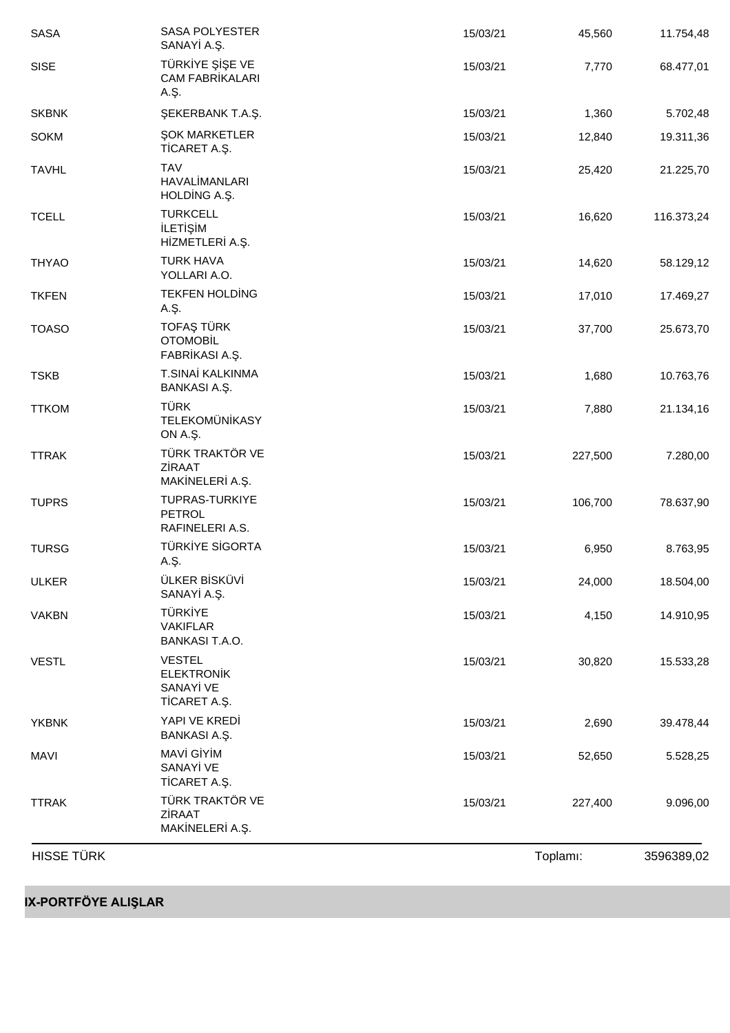| <b>HISSE TÜRK</b> |                                                                |          | Toplamı: | 3596389,02 |
|-------------------|----------------------------------------------------------------|----------|----------|------------|
| <b>TTRAK</b>      | TÜRK TRAKTÖR VE<br>Z RAAT<br>MAK NELER A. .                    | 15/03/21 | 227,400  | 9.096,00   |
| <b>MAVI</b>       | MAV GYM<br>SANAY VE<br>T CARET A. .                            | 15/03/21 | 52,650   | 5.528,25   |
| <b>YKBNK</b>      | YAPI VE KRED<br>BANKASIA                                       | 15/03/21 | 2,690    | 39.478,44  |
| <b>VESTL</b>      | <b>VESTEL</b><br><b>ELEKTRON K</b><br>SANAY VE<br>T CARET A. . | 15/03/21 | 30,820   | 15.533,28  |
| <b>VAKBN</b>      | <b>TÜRK YE</b><br><b>VAKIFLAR</b><br><b>BANKASI T.A.O.</b>     | 15/03/21 | 4,150    | 14.910,95  |
| <b>ULKER</b>      | ÜLKER B SKÜV<br>SANAY A. .                                     | 15/03/21 | 24,000   | 18.504,00  |
| <b>TURSG</b>      | TÜRK YE S GORTA<br>A. .                                        | 15/03/21 | 6,950    | 8.763,95   |
| <b>TUPRS</b>      | TUPRAS-TURKIYE<br>PETROL<br>RAFINELERI A.S.                    | 15/03/21 | 106,700  | 78.637,90  |
| <b>TTRAK</b>      | TÜRK TRAKTÖR VE<br>Z RAAT<br>MAK NELER A. .                    | 15/03/21 | 227,500  | 7.280,00   |
| <b>TTKOM</b>      | TÜRK<br><b>TELEKOMÜN KASY</b><br>ONA                           | 15/03/21 | 7,880    | 21.134,16  |
| <b>TSKB</b>       | T.SINA KALKINMA<br>BANKASIA                                    | 15/03/21 | 1,680    | 10.763,76  |
| <b>TOASO</b>      | TOFA TÜRK<br>OTOMOB <sub>L</sub><br>FABR KASI A. .             | 15/03/21 | 37,700   | 25.673,70  |
| <b>TKFEN</b>      | TEKFEN HOLD NG<br>A. .                                         | 15/03/21 | 17,010   | 17.469,27  |
| <b>THYAO</b>      | <b>TURK HAVA</b><br>YOLLARI A.O.                               | 15/03/21 | 14,620   | 58.129,12  |
| <b>TCELL</b>      | <b>TURKCELL</b><br>LET M<br>H ZMETLER A. .                     | 15/03/21 | 16,620   | 116.373,24 |
| <b>TAVHL</b>      | <b>TAV</b><br><b>HAVAL MANLARI</b><br>HOLD NG A. .             | 15/03/21 | 25,420   | 21.225,70  |
| <b>SOKM</b>       | OK MARKETLER<br>T CARET A. .                                   | 15/03/21 | 12,840   | 19.311,36  |
| <b>SKBNK</b>      | <b>EKERBANK T.A.</b> .                                         | 15/03/21 | 1,360    | 5.702,48   |
| SISE              | <b>TÜRK YE</b><br>E VE<br><b>CAM FABR KALARI</b><br>A. .       | 15/03/21 | 7,770    | 68.477,01  |
| SASA              | <b>SASA POLYESTER</b><br>SANAY A. .                            | 15/03/21 | 45,560   | 11.754,48  |

**IX-PORTFÖYE ALIŞLAR**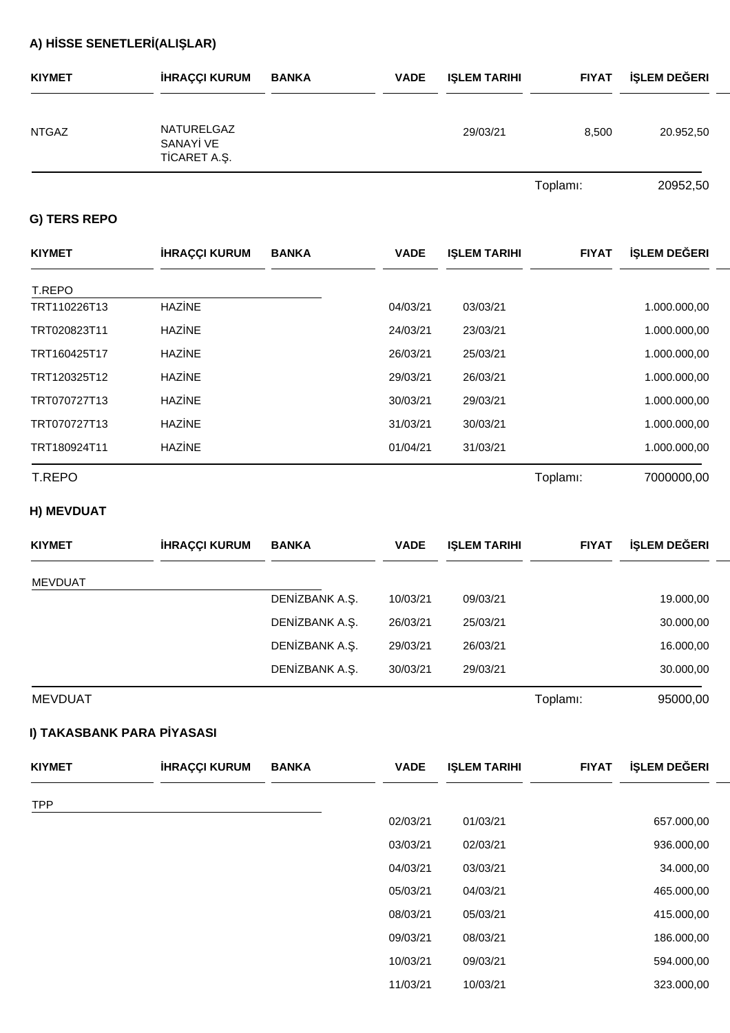# **A) H SSE SENETLER (ALI LAR)**

| <b>KIYMET</b> | <b>HRAÇÇI KURUM</b>                    | <b>BANKA</b> | <b>VADE</b> | <b>LEM TARIHI</b> | <b>FIYAT</b> | LEM DE ERI |
|---------------|----------------------------------------|--------------|-------------|-------------------|--------------|------------|
| <b>NTGAZ</b>  | NATURELGAZ<br>SANAY VE<br>T CARET A. . |              |             | 29/03/21          | 8,500        | 20.952,50  |
|               |                                        |              |             |                   |              | 0.000000   |

Toplamı: 20952,50

### **G) TERS REPO**

| <b>KIYMET</b> | <b>HRAÇÇI KURUM</b> | <b>BANKA</b> | <b>VADE</b> | <b>I LEM TARIHI</b> | <b>FIYAT</b> | LEM DE ERI   |
|---------------|---------------------|--------------|-------------|---------------------|--------------|--------------|
| T.REPO        |                     |              |             |                     |              |              |
| TRT110226T13  | HAZ NE              |              | 04/03/21    | 03/03/21            |              | 1.000.000,00 |
| TRT020823T11  | HAZ NE              |              | 24/03/21    | 23/03/21            |              | 1.000.000,00 |
| TRT160425T17  | HAZ NE              |              | 26/03/21    | 25/03/21            |              | 1.000.000,00 |
| TRT120325T12  | HAZ NE              |              | 29/03/21    | 26/03/21            |              | 1.000.000,00 |
| TRT070727T13  | HAZ NE              |              | 30/03/21    | 29/03/21            |              | 1.000.000,00 |
| TRT070727T13  | HAZ NE              |              | 31/03/21    | 30/03/21            |              | 1.000.000,00 |
| TRT180924T11  | HAZ NE              |              | 01/04/21    | 31/03/21            |              | 1.000.000,00 |
| <b>T.REPO</b> |                     |              |             |                     | Toplamı:     | 7000000,00   |

### **H) MEVDUAT**

| <b>KIYMET</b>  | <b>HRAÇÇI KURUM</b> | <b>BANKA</b> | <b>VADE</b> | <b>LEM TARIHI</b> | <b>FIYAT</b> | LEM DE ERI |
|----------------|---------------------|--------------|-------------|-------------------|--------------|------------|
| MEVDUAT        |                     |              |             |                   |              |            |
|                |                     | DEN ZBANK A. | 10/03/21    | 09/03/21          |              | 19.000,00  |
|                |                     | DEN ZBANK A. | 26/03/21    | 25/03/21          |              | 30.000,00  |
|                |                     | DEN ZBANK A. | 29/03/21    | 26/03/21          |              | 16.000,00  |
|                |                     | DEN ZBANK A. | 30/03/21    | 29/03/21          |              | 30.000,00  |
| <b>MEVDUAT</b> |                     |              |             |                   | Toplamı:     | 95000,00   |

### **I) TAKASBANK PARA P YASASI**

| <b>KIYMET</b> | <b>HRAÇÇI KURUM</b> | <b>BANKA</b> | <b>VADE</b> | <b>I LEM TARIHI</b> | <b>FIYAT</b> | LEM DE ERI |
|---------------|---------------------|--------------|-------------|---------------------|--------------|------------|
| <b>TPP</b>    |                     |              |             |                     |              |            |
|               |                     |              | 02/03/21    | 01/03/21            |              | 657.000,00 |
|               |                     |              | 03/03/21    | 02/03/21            |              | 936.000,00 |
|               |                     |              | 04/03/21    | 03/03/21            |              | 34.000,00  |
|               |                     |              | 05/03/21    | 04/03/21            |              | 465.000,00 |
|               |                     |              | 08/03/21    | 05/03/21            |              | 415.000,00 |
|               |                     |              | 09/03/21    | 08/03/21            |              | 186.000,00 |
|               |                     |              | 10/03/21    | 09/03/21            |              | 594.000,00 |
|               |                     |              | 11/03/21    | 10/03/21            |              | 323.000,00 |